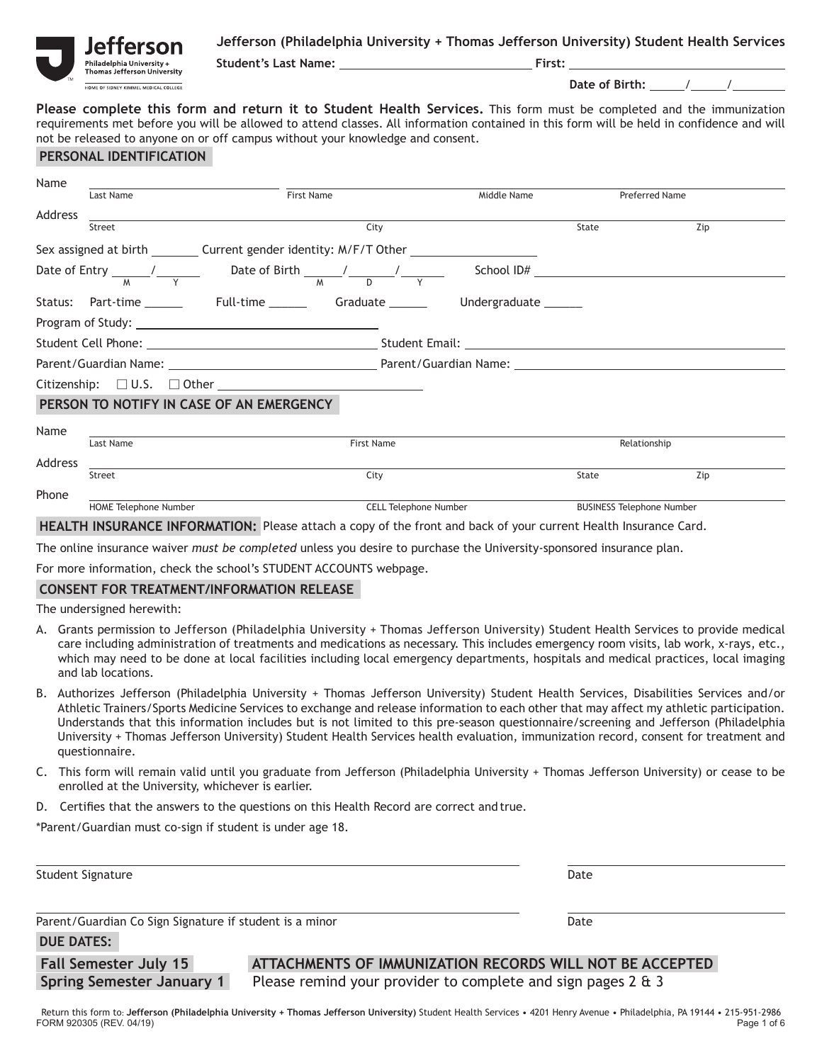

,<br>hiladelphia University +<br>Thomas Jefferson University HOME OF SIDNEY KIMMEL MEDICAL COLLEGE

**Student's Last Name: First:**

 **Date of Birth:** / /

**Please complete this form and return it to Student Health Services.** This form must be completed and the immunization requirements met before you will be allowed to attend classes. All information contained in this form will be held in confidence and will not be released to anyone on or off campus without your knowledge and consent.

### **PERSONAL IDENTIFICATION**

| Name    |                                                                                                                                                                                                                                |            |                              |                                  |                       |     |  |  |  |  |  |
|---------|--------------------------------------------------------------------------------------------------------------------------------------------------------------------------------------------------------------------------------|------------|------------------------------|----------------------------------|-----------------------|-----|--|--|--|--|--|
|         | Last Name                                                                                                                                                                                                                      | First Name |                              | Middle Name                      | <b>Preferred Name</b> |     |  |  |  |  |  |
| Address |                                                                                                                                                                                                                                |            |                              |                                  |                       |     |  |  |  |  |  |
|         | Street                                                                                                                                                                                                                         |            | City                         |                                  | State                 | Zip |  |  |  |  |  |
|         | Sex assigned at birth Current gender identity: M/F/T Other                                                                                                                                                                     |            |                              |                                  |                       |     |  |  |  |  |  |
|         | Date of Entry $\frac{1}{M}$ $\frac{1}{Y}$ Date of Birth $\frac{1}{M}$ $\frac{1}{N}$ $\frac{1}{Y}$                                                                                                                              |            |                              |                                  | School ID#            |     |  |  |  |  |  |
|         | Status: Part-time ________  Full-time ________  Graduate _______  Undergraduate ______                                                                                                                                         |            |                              |                                  |                       |     |  |  |  |  |  |
|         |                                                                                                                                                                                                                                |            |                              |                                  |                       |     |  |  |  |  |  |
|         | Student Cell Phone: National According Student Email: National According Student Email: National According Student Email: National According Student Email: National According Student Email: National According Student Email |            |                              |                                  |                       |     |  |  |  |  |  |
|         |                                                                                                                                                                                                                                |            |                              |                                  |                       |     |  |  |  |  |  |
|         |                                                                                                                                                                                                                                |            |                              |                                  |                       |     |  |  |  |  |  |
|         | PERSON TO NOTIFY IN CASE OF AN EMERGENCY                                                                                                                                                                                       |            |                              |                                  |                       |     |  |  |  |  |  |
| Name    |                                                                                                                                                                                                                                |            |                              |                                  |                       |     |  |  |  |  |  |
|         | Last Name<br><b>First Name</b>                                                                                                                                                                                                 |            |                              |                                  | Relationship          |     |  |  |  |  |  |
| Address |                                                                                                                                                                                                                                |            |                              |                                  |                       |     |  |  |  |  |  |
|         | Street                                                                                                                                                                                                                         |            | City                         |                                  | State                 | Zip |  |  |  |  |  |
| Phone   |                                                                                                                                                                                                                                |            |                              |                                  |                       |     |  |  |  |  |  |
|         | HOME Telephone Number                                                                                                                                                                                                          |            | <b>CELL Telephone Number</b> | <b>BUSINESS Telephone Number</b> |                       |     |  |  |  |  |  |

**HEALTH INSURANCE INFORMATION:** Please attach a copy of the front and back of your current Health Insurance Card.

The online insurance waiver *must be completed* unless you desire to purchase the University-sponsored insurance plan.

For more information, check the school's STUDENT ACCOUNTS webpage.

### **CONSENT FOR TREATMENT/INFORMATION RELEASE**

The undersigned herewith:

- A. Grants permission to Jefferson (Philadelphia University + Thomas Jefferson University) Student Health Services to provide medical care including administration of treatments and medications as necessary. This includes emergency room visits, lab work, x-rays, etc., which may need to be done at local facilities including local emergency departments, hospitals and medical practices, local imaging and lab locations.
- B. Authorizes Jefferson (Philadelphia University + Thomas Jefferson University) Student Health Services, Disabilities Services and/or Athletic Trainers/Sports Medicine Services to exchange and release information to each other that may affect my athletic participation. Understands that this information includes but is not limited to this pre-season questionnaire/screening and Jefferson (Philadelphia University + Thomas Jefferson University) Student Health Services health evaluation, immunization record, consent for treatment and questionnaire.
- C. This form will remain valid until you graduate from Jefferson (Philadelphia University + Thomas Jefferson University) or cease to be enrolled at the University, whichever is earlier.
- D. Certifies that the answers to the questions on this Health Record are correct and true.

\*Parent/Guardian must co-sign if student is under age 18.

| Student Signature                                       |                                                           | Date |  |
|---------------------------------------------------------|-----------------------------------------------------------|------|--|
| Parent/Guardian Co Sign Signature if student is a minor | Date                                                      |      |  |
| <b>DUE DATES:</b>                                       |                                                           |      |  |
| Eall Competer July 15                                   | ATTACHMENTS OF IMMITMIZATION BECODDS WILL NOT BE ACCEDIED |      |  |

 **Fall Semester July 15 ATTACHMENTS OF IMMUNIZATION RECORDS WILL NOT BE ACCEPTED Spring Semester January 1** Please remind your provider to complete and sign pages 2 & 3

FORM 920305 (REV. 04/19) Page 1 of 6 Return this form to: **Jefferson (Philadelphia University + Thomas Jefferson University)** Student Health Services • 4201 Henry Avenue • Philadelphia, PA 19144 • 215-951-2986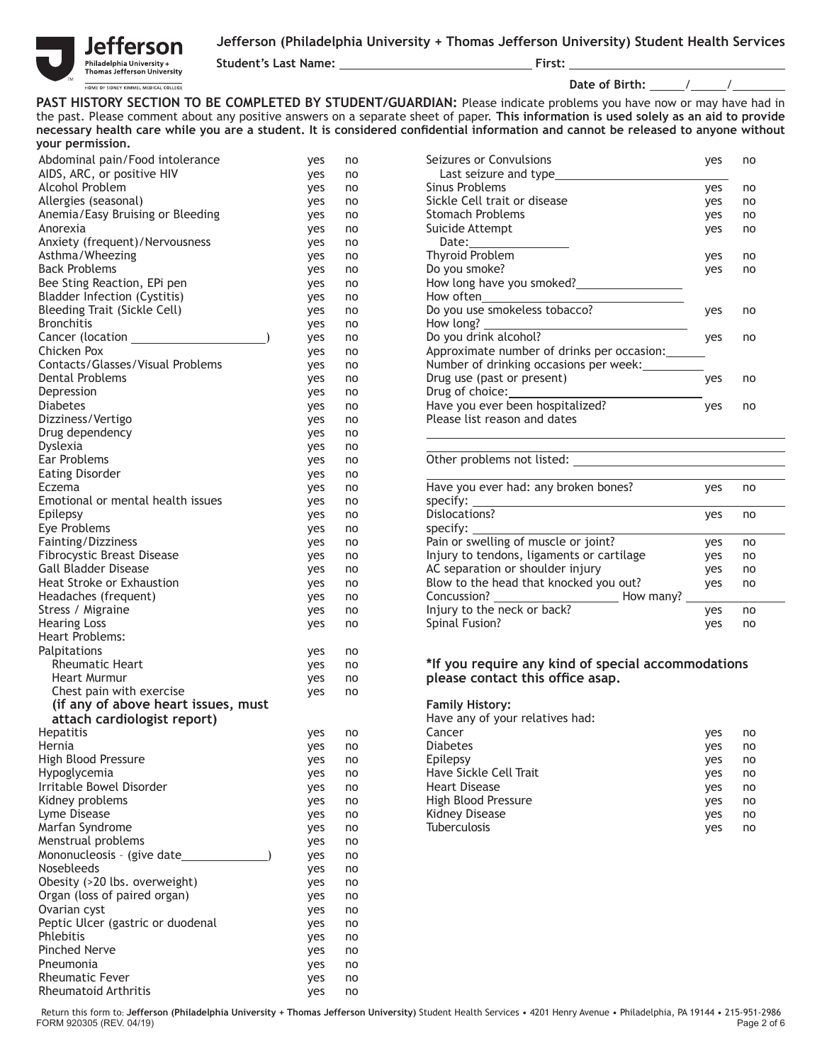

**Student's Last Name: First:**

**Date of Birth:** \_\_\_\_\_/\_\_\_\_\_/\_

PAST HISTORY SECTION TO BE COMPLETED BY STUDENT/GUARDIAN: Please indicate problems you have now or may have had in the past. Please comment about any positive answers on a separate sheet of paper. **This information is used solely as an aid to provide**  necessary health care while you are a student. It is considered confidential information and cannot be released to anyone without **your permission.**

| Abdominal pain/Food intolerance          | yes | no | Seizures or Convulsions                            | yes | no |
|------------------------------------------|-----|----|----------------------------------------------------|-----|----|
| AIDS, ARC, or positive HIV               | yes | no |                                                    |     |    |
| Alcohol Problem                          | yes | no | Sinus Problems                                     | yes | no |
| Allergies (seasonal)                     | yes | no | Sickle Cell trait or disease                       | yes | no |
| Anemia/Easy Bruising or Bleeding         | yes | no | <b>Stomach Problems</b>                            | yes | no |
| Anorexia                                 | yes | no | Suicide Attempt                                    |     | no |
| Anxiety (frequent)/Nervousness           |     |    |                                                    | yes |    |
|                                          | yes | no | Thyroid Problem                                    |     |    |
| Asthma/Wheezing                          | yes | no |                                                    | yes | no |
| <b>Back Problems</b>                     | yes | no | Do you smoke?                                      | yes | no |
| Bee Sting Reaction, EPi pen              | yes | no |                                                    |     |    |
| <b>Bladder Infection (Cystitis)</b>      | yes | no |                                                    |     |    |
| <b>Bleeding Trait (Sickle Cell)</b>      | yes | no | Do you use smokeless tobacco?                      | yes | no |
| <b>Bronchitis</b>                        | yes | no | How long?<br>$\frac{1}{2}$                         |     |    |
|                                          | yes | no | Do you drink alcohol?                              | yes | no |
| Chicken Pox                              | yes | no | Approximate number of drinks per occasion:         |     |    |
| Contacts/Glasses/Visual Problems         | yes | no | Number of drinking occasions per week: __________  |     |    |
| <b>Dental Problems</b>                   | yes | no | Drug use (past or present)                         | yes | no |
| Depression                               | yes | no |                                                    |     |    |
| <b>Diabetes</b>                          | yes | no | Have you ever been hospitalized?                   | yes | no |
| Dizziness/Vertigo                        | yes | no | Please list reason and dates                       |     |    |
| Drug dependency                          | yes | no |                                                    |     |    |
| Dyslexia                                 | yes | no |                                                    |     |    |
| Ear Problems                             | yes | no | Other problems not listed:                         |     |    |
| <b>Eating Disorder</b>                   | yes | no |                                                    |     |    |
| Eczema                                   | yes | no | Have you ever had: any broken bones?               | yes | no |
| Emotional or mental health issues        | yes | no |                                                    |     |    |
| Epilepsy                                 | yes | no | Dislocations?                                      | yes | no |
| Eye Problems                             | yes | no | specify: $\overline{\phantom{a}}$                  |     |    |
| Fainting/Dizziness                       | yes | no | Pain or swelling of muscle or joint?               | yes | no |
| <b>Fibrocystic Breast Disease</b>        | yes | no | Injury to tendons, ligaments or cartilage          | yes | no |
| <b>Gall Bladder Disease</b>              | yes | no | AC separation or shoulder injury                   | yes | no |
| Heat Stroke or Exhaustion                | yes | no | Blow to the head that knocked you out?             | yes | no |
| Headaches (frequent)                     | yes | no |                                                    |     |    |
| Stress / Migraine                        | yes | no | Injury to the neck or back?                        | yes | no |
| <b>Hearing Loss</b>                      | yes | no | Spinal Fusion?                                     | yes | no |
| Heart Problems:                          |     |    |                                                    |     |    |
| Palpitations                             | yes | no |                                                    |     |    |
| <b>Rheumatic Heart</b>                   | yes | no | *If you require any kind of special accommodations |     |    |
| Heart Murmur                             | yes | no | please contact this office asap.                   |     |    |
| Chest pain with exercise                 | yes | no |                                                    |     |    |
| (if any of above heart issues, must      |     |    | <b>Family History:</b>                             |     |    |
| attach cardiologist report)              |     |    | Have any of your relatives had:                    |     |    |
| Hepatitis                                |     |    | Cancer                                             |     |    |
| Hernia                                   | yes | no |                                                    | yes | no |
|                                          | yes | no | <b>Diabetes</b>                                    | yes | no |
| High Blood Pressure                      | yes | no | Epilepsy                                           | yes | no |
| Hypoglycemia<br>Irritable Bowel Disorder | yes | no | Have Sickle Cell Trait                             | yes | no |
|                                          | yes | no | <b>Heart Disease</b>                               | yes | no |
| Kidney problems                          | yes | no | High Blood Pressure                                | yes | no |
| Lyme Disease                             | yes | no | <b>Kidney Disease</b>                              | yes | no |
| Marfan Syndrome                          | yes | no | Tuberculosis                                       | yes | no |
| Menstrual problems                       | yes | no |                                                    |     |    |
| Mononucleosis - (give date_              | yes | no |                                                    |     |    |
| <b>Nosebleeds</b>                        | yes | no |                                                    |     |    |
| Obesity (>20 lbs. overweight)            | yes | no |                                                    |     |    |
| Organ (loss of paired organ)             | yes | no |                                                    |     |    |
| Ovarian cyst                             | yes | no |                                                    |     |    |
| Peptic Ulcer (gastric or duodenal        | yes | no |                                                    |     |    |
| Phlebitis                                | yes | no |                                                    |     |    |
| Pinched Nerve                            | yes | no |                                                    |     |    |
| Pneumonia                                | yes | no |                                                    |     |    |
| <b>Rheumatic Fever</b>                   | yes | no |                                                    |     |    |
| <b>Rheumatoid Arthritis</b>              | yes | no |                                                    |     |    |
|                                          |     |    |                                                    |     |    |

| Abdominal pain/Food intolerance  |  | ves | no | Seizures or Convulsions                    | yes | no |
|----------------------------------|--|-----|----|--------------------------------------------|-----|----|
| AIDS, ARC, or positive HIV       |  | ves | no | Last seizure and type                      |     |    |
| Alcohol Problem                  |  | ves | no | Sinus Problems                             | yes | no |
| Allergies (seasonal)             |  | yes | no | Sickle Cell trait or disease               | yes | no |
| Anemia/Easy Bruising or Bleeding |  | yes | no | <b>Stomach Problems</b>                    | yes | no |
| Anorexia                         |  | yes | no | Suicide Attempt                            | yes | no |
| Anxiety (frequent)/Nervousness   |  | yes | no | Date:                                      |     |    |
| Asthma/Wheezing                  |  | yes | no | Thyroid Problem                            | yes | no |
| Back Problems                    |  | yes | no | Do you smoke?                              | yes | no |
| Bee Sting Reaction, EPi pen      |  | yes | no | How long have you smoked?                  |     |    |
| Bladder Infection (Cystitis)     |  | yes | no | How often                                  |     |    |
| Bleeding Trait (Sickle Cell)     |  | yes | no | Do you use smokeless tobacco?              | yes | no |
| Bronchitis                       |  | yes | no | How long?                                  |     |    |
| Cancer (location <b>cancer</b>   |  | yes | no | Do you drink alcohol?                      | ves | no |
| Chicken Pox                      |  | yes | no | Approximate number of drinks per occasion: |     |    |
| Contacts/Glasses/Visual Problems |  | yes | no | Number of drinking occasions per week:     |     |    |
| Dental Problems                  |  | yes | no | Drug use (past or present)                 | ves | no |
| Depression                       |  | yes | no | Drug of choice:                            |     |    |
| Diabetes                         |  | yes | no | Have you ever been hospitalized?           | yes | no |
| Dizziness/Vertigo                |  | yes | no | Please list reason and dates               |     |    |
|                                  |  |     |    |                                            |     |    |

#### Other problems not listed:

| Have you ever had: any broken bones?<br>specify: | ves | no |  |
|--------------------------------------------------|-----|----|--|
| Dislocations?<br>specify:                        | yes | no |  |
| Pain or swelling of muscle or joint?             | ves | no |  |
| Injury to tendons, ligaments or cartilage        | yes | no |  |
| AC separation or shoulder injury                 | yes | no |  |
| Blow to the head that knocked you out?           | ves | no |  |
| Concussion?<br>How many?                         |     |    |  |
| Injury to the neck or back?                      | ves | no |  |
| Spinal Fusion?                                   | ves | no |  |
|                                                  |     |    |  |

### \*If you require any kind of special accommodations please contact this office asap.

### **Family History:**

| $-$ 0.000 0.000 0.000 0.000 0.000 0.000 0.000 0.000 0.000 0.000 0.000 0.000 0.000 0.000 0.000 0.000 0.000 0.000 0.000 0.000 0.000 0.000 0.000 0.000 0.000 0.000 0.000 0.000 0.000 0.000 0.000 0.000 0.000 0.000 0.000 0.000 0 |     |    |                        |     |    |
|-------------------------------------------------------------------------------------------------------------------------------------------------------------------------------------------------------------------------------|-----|----|------------------------|-----|----|
| Hepatitis                                                                                                                                                                                                                     | ves | no | Cancer                 | ves | no |
| Hernia                                                                                                                                                                                                                        | yes | no | <b>Diabetes</b>        | ves | no |
| High Blood Pressure                                                                                                                                                                                                           | yes | no | Epilepsy               | yes | no |
| Hypoglycemia                                                                                                                                                                                                                  | ves | no | Have Sickle Cell Trait | ves | no |
| Irritable Bowel Disorder                                                                                                                                                                                                      | ves | no | <b>Heart Disease</b>   | yes | no |
| Kidney problems                                                                                                                                                                                                               | ves | no | High Blood Pressure    | ves | no |
| Lyme Disease                                                                                                                                                                                                                  | ves | no | Kidney Disease         | ves | no |
| Marfan Syndrome                                                                                                                                                                                                               | ves | no | <b>Tuberculosis</b>    | yes | no |
|                                                                                                                                                                                                                               |     |    |                        |     |    |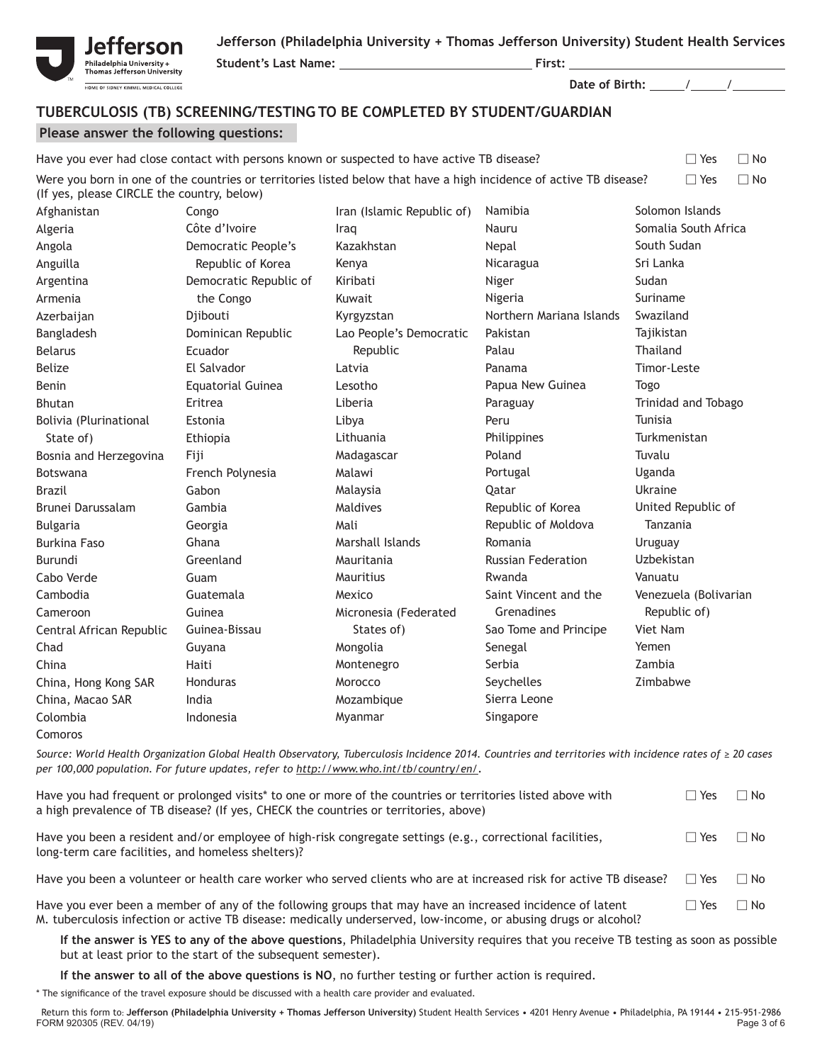Republic of Moldova

Tanzania Uruguay Uzbekistan Vanuatu

Venezuela (Bolivarian Republic of) Viet Nam Yemen Zambia Zimbabwe

Russian Federation

Saint Vincent and the **Grenadines** Sao Tome and Principe

Romania

Rwanda

Senegal Serbia Seychelles Sierra Leone Singapore



Bulgaria Burkina Faso Burundi Cabo Verde Cambodia Cameroon

Chad China

Colombia Comoros

Central African Republic

China, Hong Kong SAR China, Macao SAR

**Student's Last Name: First:**

 **Date of Birth:** / /

# **TUBERCULOSIS (TB) SCREENING/TESTING TO BE COMPLETED BY STUDENT/GUARDIAN**

### **Please answer the following questions:**

Georgia Ghana **Greenland** Guam Guatemala Guinea Guinea-Bissau Guyana Haiti Honduras India Indonesia

| Please answer the following questions:     |                                                                   |                                                                                                                    |                          |                         |  |  |  |
|--------------------------------------------|-------------------------------------------------------------------|--------------------------------------------------------------------------------------------------------------------|--------------------------|-------------------------|--|--|--|
|                                            |                                                                   | Have you ever had close contact with persons known or suspected to have active TB disease?                         |                          | $\Box$ Yes<br>$\Box$ No |  |  |  |
| (If yes, please CIRCLE the country, below) |                                                                   | Were you born in one of the countries or territories listed below that have a high incidence of active TB disease? |                          | $\Box$ No<br>$\Box$ Yes |  |  |  |
| Afghanistan                                | Solomon Islands<br>Iran (Islamic Republic of)<br>Namibia<br>Congo |                                                                                                                    |                          |                         |  |  |  |
| Algeria                                    | Côte d'Ivoire                                                     | Iraq                                                                                                               | Nauru                    | Somalia South Africa    |  |  |  |
| Angola                                     | Democratic People's                                               | Kazakhstan                                                                                                         | Nepal                    | South Sudan             |  |  |  |
| Anguilla                                   | Republic of Korea                                                 | Kenya                                                                                                              | Nicaragua                | Sri Lanka               |  |  |  |
| Argentina                                  | Democratic Republic of                                            | Kiribati                                                                                                           | Niger                    | Sudan                   |  |  |  |
| Armenia                                    | the Congo                                                         | Kuwait                                                                                                             | Nigeria                  | Suriname                |  |  |  |
| Azerbaijan                                 | Djibouti                                                          | Kyrgyzstan                                                                                                         | Northern Mariana Islands | Swaziland               |  |  |  |
| Bangladesh                                 | Dominican Republic                                                | Lao People's Democratic                                                                                            | Pakistan                 | Tajikistan              |  |  |  |
| <b>Belarus</b>                             | Ecuador                                                           | Republic                                                                                                           | Palau                    | <b>Thailand</b>         |  |  |  |
| Belize                                     | El Salvador                                                       | Latvia                                                                                                             | Panama                   | Timor-Leste             |  |  |  |
| Benin                                      | <b>Equatorial Guinea</b>                                          | Lesotho                                                                                                            | Papua New Guinea         | Togo                    |  |  |  |
| <b>Bhutan</b>                              | Eritrea                                                           | Liberia                                                                                                            | Paraguay                 | Trinidad and Tobago     |  |  |  |
| Bolivia (Plurinational                     | Estonia                                                           | Libya                                                                                                              | Peru                     | <b>Tunisia</b>          |  |  |  |
| State of)                                  | Ethiopia                                                          | Lithuania                                                                                                          | <b>Philippines</b>       | Turkmenistan            |  |  |  |
| Bosnia and Herzegovina                     | Fiji                                                              | Madagascar                                                                                                         | Poland                   | Tuvalu                  |  |  |  |
| <b>Botswana</b>                            | French Polynesia                                                  | Malawi                                                                                                             | Portugal                 | Uganda                  |  |  |  |
| Brazil                                     | Gabon                                                             | Malaysia                                                                                                           | Qatar                    | Ukraine                 |  |  |  |
| Brunei Darussalam                          | Gambia                                                            | Maldives                                                                                                           | Republic of Korea        | United Republic of      |  |  |  |

Mali

Marshall Islands Mauritania Mauritius Mexico

Micronesia (Federated States of) Mongolia Montenegro Morocco Mozambique Myanmar

*Source: World Health Organization Global Health Observatory, Tuberculosis Incidence 2014. Countries and territories with incidence rates of ≥ 20 cases per 100,000 population. For future updates, refer to http://www.who.int/tb/country/en/.*

| Have you had frequent or prolonged visits* to one or more of the countries or territories listed above with<br>a high prevalence of TB disease? (If yes, CHECK the countries or territories, above) | ∩ Yes      | ∩ No      |
|-----------------------------------------------------------------------------------------------------------------------------------------------------------------------------------------------------|------------|-----------|
| Have you been a resident and/or employee of high-risk congregate settings (e.g., correctional facilities,<br>long-term care facilities, and homeless shelters)?                                     | □ Yes      | $\Box$ No |
| Have you been a volunteer or health care worker who served clients who are at increased risk for active TB disease?                                                                                 | $\Box$ Yes | $\Box$ No |
| Have you ever been a member of any of the following groups that may have an increased incidence of latent                                                                                           | □ Yes      | ∩ No      |

Have you ever been a member of any of the following groups that may have an increased incidence of latent  $\Box$  Yes M. tuberculosis infection or active TB disease: medically underserved, low-income, or abusing drugs or alcohol?

**If the answer is YES to any of the above questions**, Philadelphia University requires that you receive TB testing as soon as possible but at least prior to the start of the subsequent semester).

**If the answer to all of the above questions is NO**, no further testing or further action is required.

\* The signifi cance of the travel exposure should be discussed with a health care provider and evaluated.

FORM 920305 (REV. 04/19) Page 3 of 6 Return this form to: **Jefferson (Philadelphia University + Thomas Jefferson University)** Student Health Services • 4201 Henry Avenue • Philadelphia, PA 19144 • 215-951-2986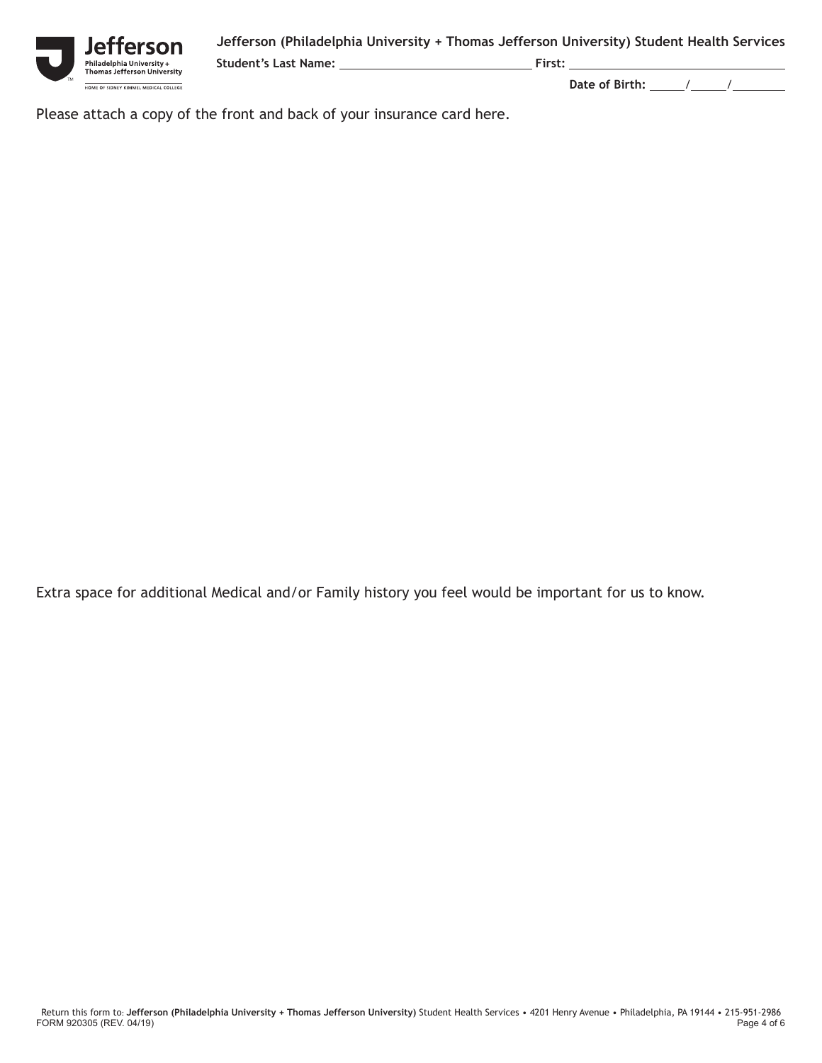**Student's Last Name: First:**

erson ,<br>'hiladelphia University +<br>'homas Jefferson University HOME OF SIDNEY KIMMEL MEDICAL COLLEGE

 **Date of Birth:** / /

Please attach a copy of the front and back of your insurance card here.

Extra space for additional Medical and/or Family history you feel would be important for us to know.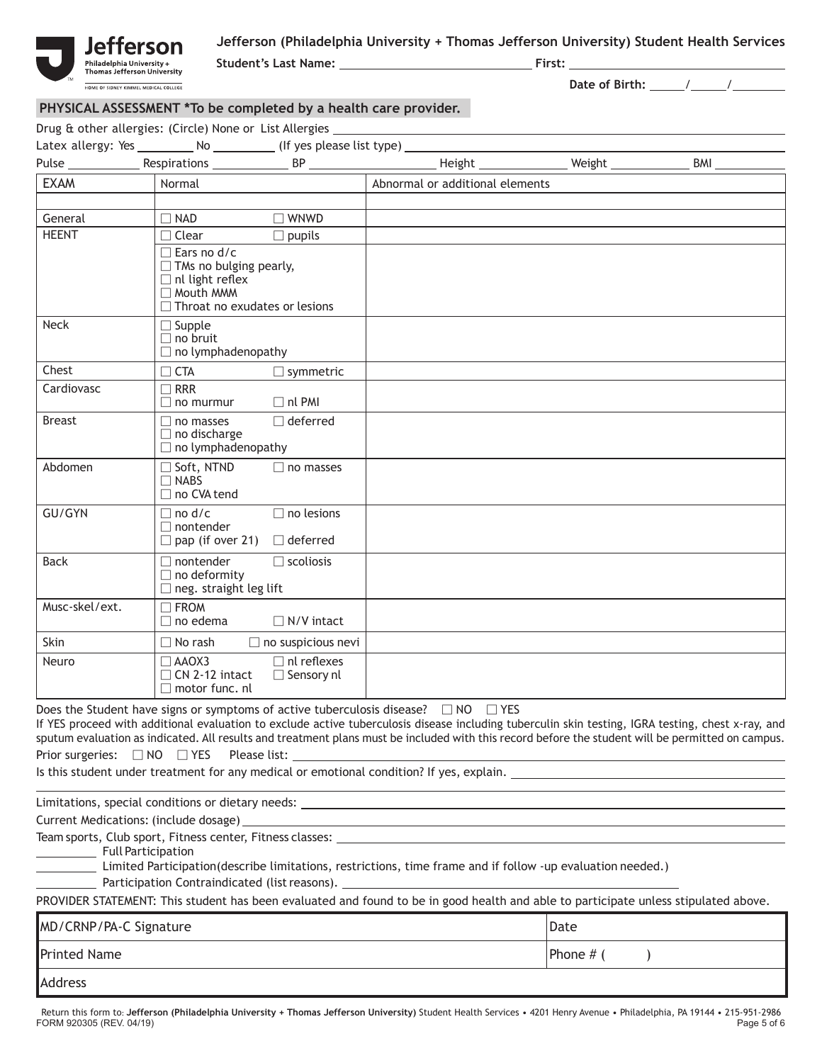

**Student's Last Name: First:**

 **Date of Birth:** / /

### **PHYSICAL ASSESSMENT \*To be completed by a health care provider.**

| <b>EXAM</b><br>General<br><b>HEENT</b><br>Neck<br>Chest<br>Cardiovasc                                                                                                                                                                                                                                                                                                                         | Normal<br>$\Box$ NAD<br>$\Box$ Clear<br>$\Box$ Ears no d/c<br>$\Box$ TMs no bulging pearly,<br>$\Box$ nl light reflex<br>□ Mouth MMM<br>$\Box$ Throat no exudates or lesions | $\Box$ WNWD<br>$\Box$ pupils            | Abnormal or additional elements |                                                     |  |
|-----------------------------------------------------------------------------------------------------------------------------------------------------------------------------------------------------------------------------------------------------------------------------------------------------------------------------------------------------------------------------------------------|------------------------------------------------------------------------------------------------------------------------------------------------------------------------------|-----------------------------------------|---------------------------------|-----------------------------------------------------|--|
|                                                                                                                                                                                                                                                                                                                                                                                               |                                                                                                                                                                              |                                         |                                 |                                                     |  |
|                                                                                                                                                                                                                                                                                                                                                                                               |                                                                                                                                                                              |                                         |                                 |                                                     |  |
|                                                                                                                                                                                                                                                                                                                                                                                               |                                                                                                                                                                              |                                         |                                 |                                                     |  |
|                                                                                                                                                                                                                                                                                                                                                                                               |                                                                                                                                                                              |                                         |                                 |                                                     |  |
|                                                                                                                                                                                                                                                                                                                                                                                               |                                                                                                                                                                              |                                         |                                 |                                                     |  |
|                                                                                                                                                                                                                                                                                                                                                                                               |                                                                                                                                                                              |                                         |                                 |                                                     |  |
|                                                                                                                                                                                                                                                                                                                                                                                               |                                                                                                                                                                              |                                         |                                 |                                                     |  |
|                                                                                                                                                                                                                                                                                                                                                                                               | $\Box$ Supple<br>$\Box$ no bruit<br>$\Box$ no lymphadenopathy                                                                                                                |                                         |                                 |                                                     |  |
|                                                                                                                                                                                                                                                                                                                                                                                               | $\Box$ CTA                                                                                                                                                                   | $\Box$ symmetric                        |                                 |                                                     |  |
|                                                                                                                                                                                                                                                                                                                                                                                               | $\Box$ RRR<br>$\Box$ no murmur                                                                                                                                               | $\Box$ nl PMI                           |                                 |                                                     |  |
| <b>Breast</b>                                                                                                                                                                                                                                                                                                                                                                                 | $\Box$ no masses<br>$\Box$ no discharge<br>$\Box$ no lymphadenopathy                                                                                                         | $\Box$ deferred                         |                                 |                                                     |  |
| Abdomen                                                                                                                                                                                                                                                                                                                                                                                       | $\Box$ Soft, NTND<br>$\Box$ NABS<br>□ no CVA tend                                                                                                                            | $\Box$ no masses                        |                                 |                                                     |  |
| GU/GYN                                                                                                                                                                                                                                                                                                                                                                                        | $\Box$ no d/c<br>$\Box$ nontender<br>$\Box$ pap (if over 21) $\Box$ deferred                                                                                                 | $\Box$ no lesions                       |                                 |                                                     |  |
| <b>Back</b>                                                                                                                                                                                                                                                                                                                                                                                   | $\Box$ nontender<br>$\Box$ no deformity<br>$\Box$ neg. straight leg lift                                                                                                     | $\Box$ scoliosis                        |                                 |                                                     |  |
| Musc-skel/ext.                                                                                                                                                                                                                                                                                                                                                                                | $\Box$ FROM<br>$\Box$ no edema                                                                                                                                               | $\Box$ N/V intact                       |                                 |                                                     |  |
| Skin                                                                                                                                                                                                                                                                                                                                                                                          | $\Box$ No rash                                                                                                                                                               | $\Box$ no suspicious nevi               |                                 |                                                     |  |
| Neuro                                                                                                                                                                                                                                                                                                                                                                                         | $\Box$ AAOX3<br>$\Box$ CN 2-12 intact<br>$\Box$ motor func. nl                                                                                                               | $\Box$ nl reflexes<br>$\Box$ Sensory nl |                                 |                                                     |  |
| Does the Student have signs or symptoms of active tuberculosis disease? □ NO □ YES<br>If YES proceed with additional evaluation to exclude active tuberculosis disease including tuberculin skin testing, IGRA testing, chest x-ray, and<br>sputum evaluation as indicated. All results and treatment plans must be included with this record before the student will be permitted on campus. |                                                                                                                                                                              |                                         |                                 |                                                     |  |
|                                                                                                                                                                                                                                                                                                                                                                                               |                                                                                                                                                                              |                                         |                                 | <u> 1989 - Johann Stein, marwolaethau (b. 1989)</u> |  |
|                                                                                                                                                                                                                                                                                                                                                                                               |                                                                                                                                                                              |                                         |                                 |                                                     |  |
| Full Participation<br>Limited Participation(describe limitations, restrictions, time frame and if follow -up evaluation needed.)                                                                                                                                                                                                                                                              |                                                                                                                                                                              |                                         |                                 |                                                     |  |
| PROVIDER STATEMENT: This student has been evaluated and found to be in good health and able to participate unless stipulated above.                                                                                                                                                                                                                                                           |                                                                                                                                                                              |                                         |                                 |                                                     |  |

| MD/CRNP/PA-C Signature | Date        |
|------------------------|-------------|
| Printed Name           | Phone $#$ ( |
| <b>Address</b>         |             |

FORM 920305 (REV. 04/19) Page 5 of 6 Return this form to: **Jefferson (Philadelphia University + Thomas Jefferson University)** Student Health Services • 4201 Henry Avenue • Philadelphia, PA 19144 • 215-951-2986